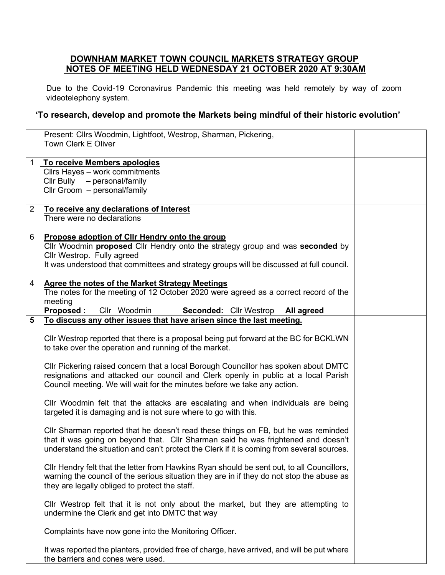## **DOWNHAM MARKET TOWN COUNCIL MARKETS STRATEGY GROUP NOTES OF MEETING HELD WEDNESDAY 21 OCTOBER 2020 AT 9:30AM**

Due to the Covid-19 Coronavirus Pandemic this meeting was held remotely by way of zoom videotelephony system.

## **'To research, develop and promote the Markets being mindful of their historic evolution'**

|                | Present: Cllrs Woodmin, Lightfoot, Westrop, Sharman, Pickering,                                                                             |  |
|----------------|---------------------------------------------------------------------------------------------------------------------------------------------|--|
|                | <b>Town Clerk E Oliver</b>                                                                                                                  |  |
| 1              | To receive Members apologies                                                                                                                |  |
|                | Cllrs Hayes - work commitments                                                                                                              |  |
|                | Cllr Bully - personal/family                                                                                                                |  |
|                | Cllr Groom - personal/family                                                                                                                |  |
| $\overline{2}$ | To receive any declarations of Interest                                                                                                     |  |
|                | There were no declarations                                                                                                                  |  |
|                |                                                                                                                                             |  |
| 6              | Propose adoption of CIIr Hendry onto the group                                                                                              |  |
|                | Cllr Woodmin proposed Cllr Hendry onto the strategy group and was seconded by                                                               |  |
|                | Cllr Westrop. Fully agreed                                                                                                                  |  |
|                | It was understood that committees and strategy groups will be discussed at full council.                                                    |  |
| 4              | <b>Agree the notes of the Market Strategy Meetings</b>                                                                                      |  |
|                | The notes for the meeting of 12 October 2020 were agreed as a correct record of the                                                         |  |
|                | meeting                                                                                                                                     |  |
|                | <b>Proposed:</b><br>Cllr Woodmin<br>Seconded: Cllr Westrop All agreed                                                                       |  |
| 5              | To discuss any other issues that have arisen since the last meeting.                                                                        |  |
|                | CIIr Westrop reported that there is a proposal being put forward at the BC for BCKLWN                                                       |  |
|                | to take over the operation and running of the market.                                                                                       |  |
|                |                                                                                                                                             |  |
|                | CIIr Pickering raised concern that a local Borough Councillor has spoken about DMTC                                                         |  |
|                | resignations and attacked our council and Clerk openly in public at a local Parish                                                          |  |
|                | Council meeting. We will wait for the minutes before we take any action.                                                                    |  |
|                |                                                                                                                                             |  |
|                | CIIr Woodmin felt that the attacks are escalating and when individuals are being                                                            |  |
|                | targeted it is damaging and is not sure where to go with this.                                                                              |  |
|                | CIIr Sharman reported that he doesn't read these things on FB, but he was reminded                                                          |  |
|                | that it was going on beyond that. Cllr Sharman said he was frightened and doesn't                                                           |  |
|                | understand the situation and can't protect the Clerk if it is coming from several sources.                                                  |  |
|                |                                                                                                                                             |  |
|                | CIIr Hendry felt that the letter from Hawkins Ryan should be sent out, to all Councillors,                                                  |  |
|                | warning the council of the serious situation they are in if they do not stop the abuse as<br>they are legally obliged to protect the staff. |  |
|                |                                                                                                                                             |  |
|                | CIIr Westrop felt that it is not only about the market, but they are attempting to                                                          |  |
|                | undermine the Clerk and get into DMTC that way                                                                                              |  |
|                |                                                                                                                                             |  |
|                | Complaints have now gone into the Monitoring Officer.                                                                                       |  |
|                | It was reported the planters, provided free of charge, have arrived, and will be put where                                                  |  |
|                | the barriers and cones were used.                                                                                                           |  |